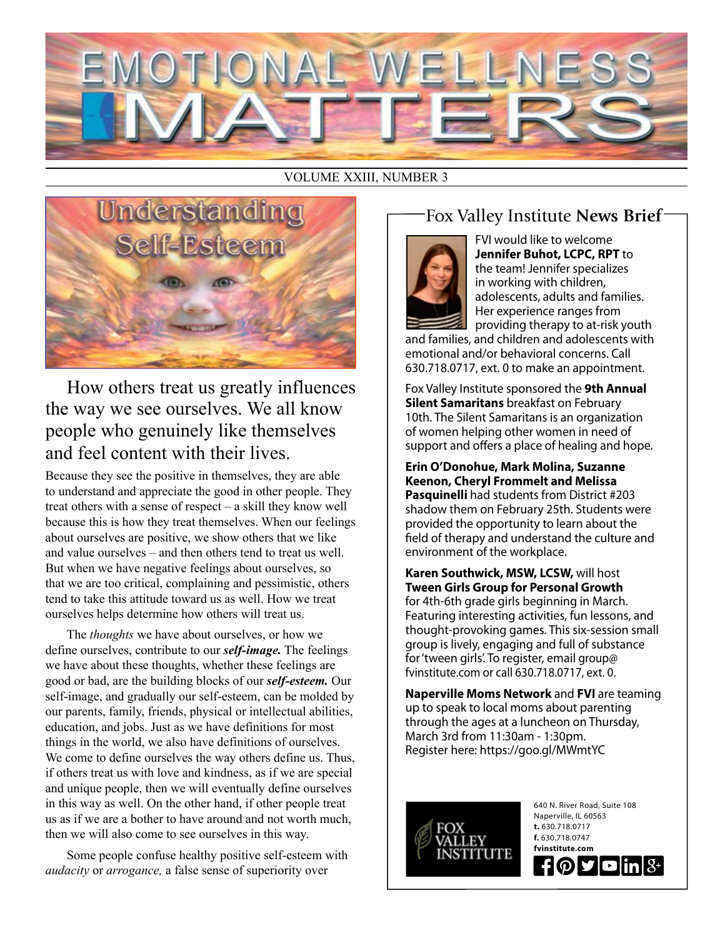

### VOLUME XXIII, NUMBER 3



How others treat us greatly influences the way we see ourselves. We all know people who genuinely like themselves and feel content with their lives.

Because they see the positive in themselves, they are able to understand and appreciate the good in other people. They treat others with a sense of respect – a skill they know well because this is how they treat themselves. When our feelings about ourselves are positive, we show others that we like and value ourselves – and then others tend to treat us well. But when we have negative feelings about ourselves, so that we are too critical, complaining and pessimistic, others tend to take this attitude toward us as well. How we treat ourselves helps determine how others will treat us.

The *thoughts* we have about ourselves, or how we define ourselves, contribute to our *self-image.* The feelings we have about these thoughts, whether these feelings are good or bad, are the building blocks of our *self-esteem.* Our self-image, and gradually our self-esteem, can be molded by our parents, family, friends, physical or intellectual abilities, education, and jobs. Just as we have definitions for most things in the world, we also have definitions of ourselves. We come to define ourselves the way others define us. Thus, if others treat us with love and kindness, as if we are special and unique people, then we will eventually define ourselves in this way as well. On the other hand, if other people treat us as if we are a bother to have around and not worth much, then we will also come to see ourselves in this way.

Some people confuse healthy positive self-esteem with *audacity* or *arrogance,* a false sense of superiority over

# Fox Valley Institute **News Brief**



FVI would like to welcome **Jennifer Buhot, LCPC, RPT** to the team! Jennifer specializes in working with children, adolescents, adults and families. Her experience ranges from providing therapy to at-risk youth

and families, and children and adolescents with emotional and/or behavioral concerns. Call 630.718.0717, ext. 0 to make an appointment.

Fox Valley Institute sponsored the **9th Annual Silent Samaritans** breakfast on February 10th. The Silent Samaritans is an organization of women helping other women in need of support and offers a place of healing and hope.

**Erin O'Donohue, Mark Molina, Suzanne Keenon, Cheryl Frommelt and Melissa Pasquinelli** had students from District #203 shadow them on February 25th. Students were provided the opportunity to learn about the field of therapy and understand the culture and environment of the workplace.

**Karen Southwick, MSW, LCSW,** will host **Tween Girls Group for Personal Growth** for 4th-6th grade girls beginning in March. Featuring interesting activities, fun lessons, and thought-provoking games. This six-session small group is lively, engaging and full of substance for 'tween girls'. To register, email group@ fvinstitute.com or call 630.718.0717, ext. 0.

**Naperville Moms Network** and **FVI** are teaming up to speak to local moms about parenting through the ages at a luncheon on Thursday, March 3rd from 11:30am - 1:30pm. Register here: https://goo.gl/MWmtYC



640 N. River Road, Suite 108 Naperville, IL 60563 **t.** 630.718.0717 **f.** 630.718.0747 **fvinstitute.com** ものす  $\blacksquare$ in $|8 \cdot |$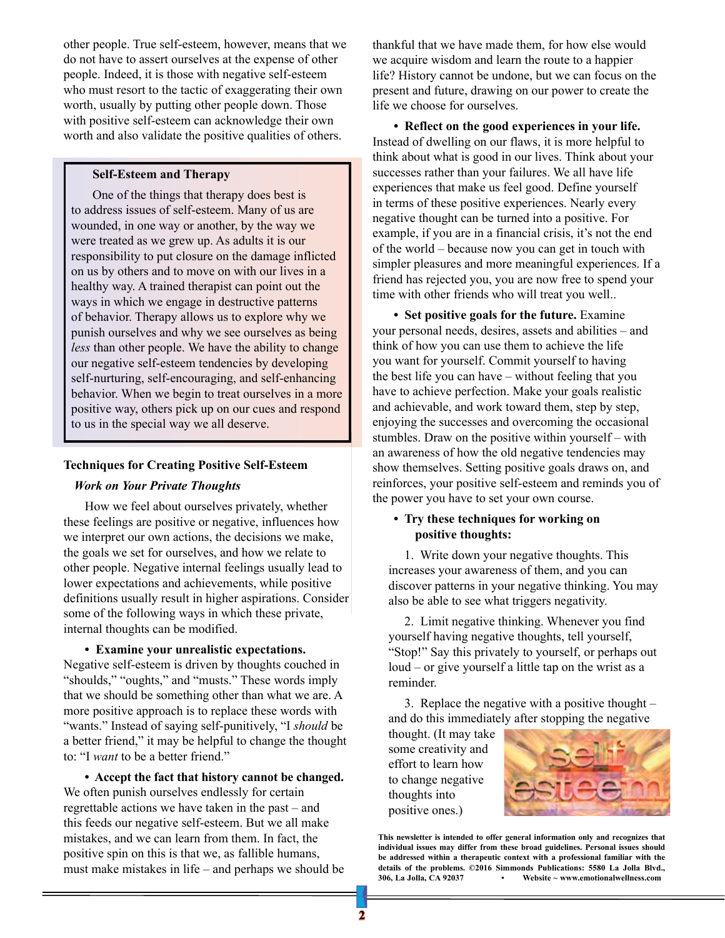other people. True self-esteem, however, means that we do not have to assert ourselves at the expense of other people. Indeed, it is those with negative self-esteem who must resort to the tactic of exaggerating their own worth, usually by putting other people down. Those with positive self-esteem can acknowledge their own worth and also validate the positive qualities of others.

#### **Self-Esteem and Therapy**

One of the things that therapy does best is to address issues of self-esteem. Many of us are wounded, in one way or another, by the way we were treated as we grew up. As adults it is our responsibility to put closure on the damage inflicted on us by others and to move on with our lives in a healthy way. A trained therapist can point out the ways in which we engage in destructive patterns of behavior. Therapy allows us to explore why we punish ourselves and why we see ourselves as being *less* than other people. We have the ability to change our negative self-esteem tendencies by developing self-nurturing, self-encouraging, and self-enhancing behavior. When we begin to treat ourselves in a more positive way, others pick up on our cues and respond to us in the special way we all deserve.

#### **Techniques for Creating Positive Self-Esteem**

#### *Work on Your Private Thoughts*

How we feel about ourselves privately, whether these feelings are positive or negative, influences how we interpret our own actions, the decisions we make, the goals we set for ourselves, and how we relate to other people. Negative internal feelings usually lead to lower expectations and achievements, while positive definitions usually result in higher aspirations. Consider some of the following ways in which these private, internal thoughts can be modified.

**• Examine your unrealistic expectations.**

Negative self-esteem is driven by thoughts couched in "shoulds," "oughts," and "musts." These words imply that we should be something other than what we are. A more positive approach is to replace these words with "wants." Instead of saying self-punitively, "I *should* be a better friend," it may be helpful to change the thought to: "I *want* to be a better friend."

**• Accept the fact that history cannot be changed.**  We often punish ourselves endlessly for certain regrettable actions we have taken in the past – and this feeds our negative self-esteem. But we all make mistakes, and we can learn from them. In fact, the positive spin on this is that we, as fallible humans, must make mistakes in life – and perhaps we should be

thankful that we have made them, for how else would we acquire wisdom and learn the route to a happier life? History cannot be undone, but we can focus on the present and future, drawing on our power to create the life we choose for ourselves.

**• Reflect on the good experiences in your life.** Instead of dwelling on our flaws, it is more helpful to think about what is good in our lives. Think about your successes rather than your failures. We all have life experiences that make us feel good. Define yourself in terms of these positive experiences. Nearly every negative thought can be turned into a positive. For example, if you are in a financial crisis, it's not the end of the world – because now you can get in touch with simpler pleasures and more meaningful experiences. If a friend has rejected you, you are now free to spend your time with other friends who will treat you well..

**• Set positive goals for the future.** Examine your personal needs, desires, assets and abilities – and think of how you can use them to achieve the life you want for yourself. Commit yourself to having the best life you can have – without feeling that you have to achieve perfection. Make your goals realistic and achievable, and work toward them, step by step, enjoying the successes and overcoming the occasional stumbles. Draw on the positive within yourself – with an awareness of how the old negative tendencies may show themselves. Setting positive goals draws on, and reinforces, your positive self-esteem and reminds you of the power you have to set your own course.

#### **• Try these techniques for working on positive thoughts:**

1. Write down your negative thoughts. This increases your awareness of them, and you can discover patterns in your negative thinking. You may also be able to see what triggers negativity.

2. Limit negative thinking. Whenever you find yourself having negative thoughts, tell yourself, "Stop!" Say this privately to yourself, or perhaps out loud – or give yourself a little tap on the wrist as a reminder.

3. Replace the negative with a positive thought – and do this immediately after stopping the negative

thought. (It may take some creativity and effort to learn how to change negative thoughts into positive ones.)



**This newsletter is intended to offer general information only and recognizes that individual issues may differ from these broad guidelines. Personal issues should be addressed within a therapeutic context with a professional familiar with the details of the problems. ©2016 Simmonds Publications: 5580 La Jolla Blvd., 306, La Jolla, CA 92037 • Website ~ www.emotionalwellness.com**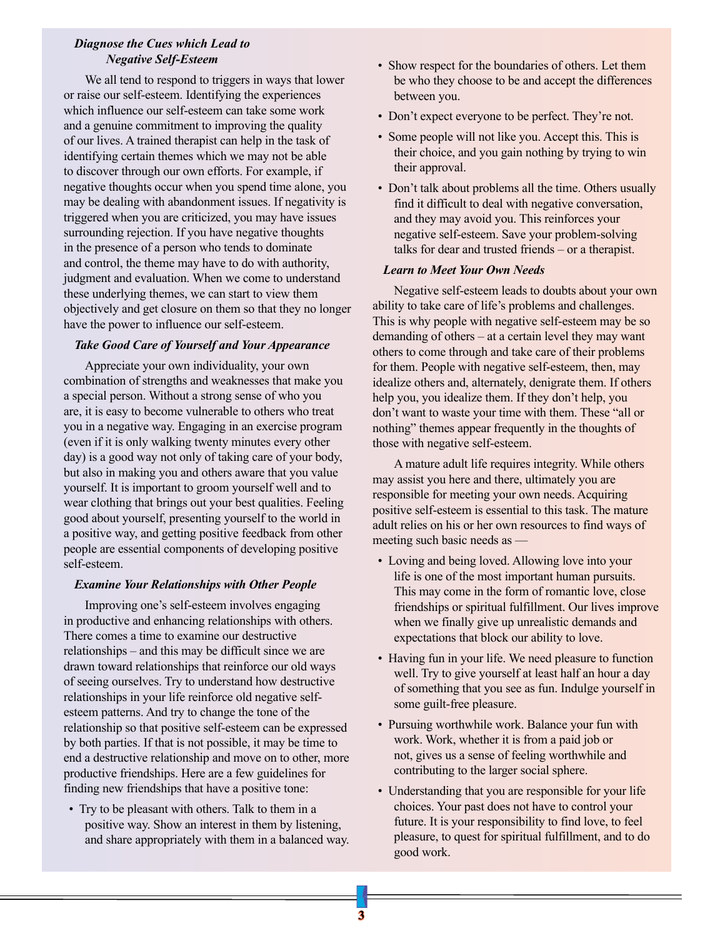#### *Diagnose the Cues which Lead to Negative Self-Esteem*

We all tend to respond to triggers in ways that lower or raise our self-esteem. Identifying the experiences which influence our self-esteem can take some work and a genuine commitment to improving the quality of our lives. A trained therapist can help in the task of identifying certain themes which we may not be able to discover through our own efforts. For example, if negative thoughts occur when you spend time alone, you may be dealing with abandonment issues. If negativity is triggered when you are criticized, you may have issues surrounding rejection. If you have negative thoughts in the presence of a person who tends to dominate and control, the theme may have to do with authority, judgment and evaluation. When we come to understand these underlying themes, we can start to view them objectively and get closure on them so that they no longer have the power to influence our self-esteem.

#### *Take Good Care of Yourself and Your Appearance*

Appreciate your own individuality, your own combination of strengths and weaknesses that make you a special person. Without a strong sense of who you are, it is easy to become vulnerable to others who treat you in a negative way. Engaging in an exercise program (even if it is only walking twenty minutes every other day) is a good way not only of taking care of your body, but also in making you and others aware that you value yourself. It is important to groom yourself well and to wear clothing that brings out your best qualities. Feeling good about yourself, presenting yourself to the world in a positive way, and getting positive feedback from other people are essential components of developing positive self-esteem.

#### *Examine Your Relationships with Other People*

Improving one's self-esteem involves engaging in productive and enhancing relationships with others. There comes a time to examine our destructive relationships – and this may be difficult since we are drawn toward relationships that reinforce our old ways of seeing ourselves. Try to understand how destructive relationships in your life reinforce old negative selfesteem patterns. And try to change the tone of the relationship so that positive self-esteem can be expressed by both parties. If that is not possible, it may be time to end a destructive relationship and move on to other, more productive friendships. Here are a few guidelines for finding new friendships that have a positive tone:

• Try to be pleasant with others. Talk to them in a positive way. Show an interest in them by listening, and share appropriately with them in a balanced way.

- Show respect for the boundaries of others. Let them be who they choose to be and accept the differences between you.
- Don't expect everyone to be perfect. They're not.
- Some people will not like you. Accept this. This is their choice, and you gain nothing by trying to win their approval.
- Don't talk about problems all the time. Others usually find it difficult to deal with negative conversation, and they may avoid you. This reinforces your negative self-esteem. Save your problem-solving talks for dear and trusted friends – or a therapist.

#### *Learn to Meet Your Own Needs*

Negative self-esteem leads to doubts about your own ability to take care of life's problems and challenges. This is why people with negative self-esteem may be so demanding of others – at a certain level they may want others to come through and take care of their problems for them. People with negative self-esteem, then, may idealize others and, alternately, denigrate them. If others help you, you idealize them. If they don't help, you don't want to waste your time with them. These "all or nothing" themes appear frequently in the thoughts of those with negative self-esteem.

A mature adult life requires integrity. While others may assist you here and there, ultimately you are responsible for meeting your own needs. Acquiring positive self-esteem is essential to this task. The mature adult relies on his or her own resources to find ways of meeting such basic needs as —

- Loving and being loved. Allowing love into your life is one of the most important human pursuits. This may come in the form of romantic love, close friendships or spiritual fulfillment. Our lives improve when we finally give up unrealistic demands and expectations that block our ability to love.
- Having fun in your life. We need pleasure to function well. Try to give yourself at least half an hour a day of something that you see as fun. Indulge yourself in some guilt-free pleasure.
- Pursuing worthwhile work. Balance your fun with work. Work, whether it is from a paid job or not, gives us a sense of feeling worthwhile and contributing to the larger social sphere.
- Understanding that you are responsible for your life choices. Your past does not have to control your future. It is your responsibility to find love, to feel pleasure, to quest for spiritual fulfillment, and to do good work.